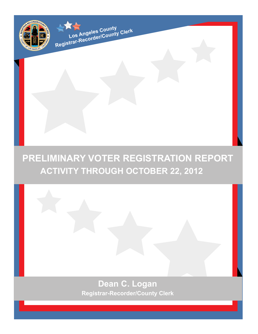

# **Dean C. Logan Registrar-Recorder/County Clerk**



**Registrar-Recorder/County Clerk**<br>Registrar-Recorder/County Clerk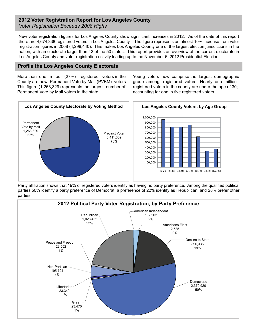#### **2012 Voter Registration Report for Los Angeles County** *Voter Registration Exceeds 2008 Highs*

New voter registration figures for Los Angeles County show significant increases in 2012. As of the date of this report there are 4,674,338 registered voters in Los Angeles County. The figure represents an almost 10% increase from voter registration figures in 2008 (4,298,440). This makes Los Angeles County one of the largest election jurisdictions in the nation, with an electorate larger than 42 of the 50 states. This report provides an overview of the current electorate in Los Angeles County and voter registration activity leading up to the November 6, 2012 Presidential Election.

#### **Profile the Los Angeles County Electorate**

More than one in four (27%) registered voters in the County are now Permanent Vote by Mail (PVBM) voters. This figure (1,263,329) represents the largest number of Permanent Vote by Mail voters in the state.

Young voters now comprise the largest demographic group among registered voters. Nearly one million registered voters in the county are under the age of 30; accounting for one in five registered voters.



Party affiliation shows that 19% of registered voters identify as having no party preference. Among the qualified political parties 50% identify a party preference of Democrat, a preference of 22% identify as Republican, and 28% prefer other parties.

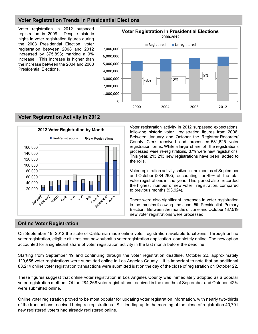# **Voter Registration Trends in Presidential Elections**

Voter registration in 2012 outpaced registration in 2008. Despite historic highs in voter registration figures during the 2008 Presidential Election, voter registration between 2008 and 2012 increased by 375,898; marking a 9% increase. This increase is higher than the increase between the 2004 and 2008 Presidential Elections.



### **Voter Registration Activity in 2012**



Voter registration activity in 2012 surpassed expectations, following historic voter registration figures from 2008. Between January and October the Registrar-Recorder/ County Clerk received and processed 581,625 voter registration forms. While a large share of the registrations processed were re-registrations, 37% were new registrations. This year, 213,213 new registrations have been added to the rolls.

Voter registration activity spiked in the months of September and October (284,268), accounting for 49% of the total voter registrations in the year. This period also recorded the highest number of new voter registration. compared to previous months (93,924).

There were also significant increases in voter registration in the months following the June 5th Presidential Primary Election. Between the months of June and October 137,519 new voter registrations were processed.

#### **Online Voter Registration**

On September 19, 2012 the state of California made online voter registration available to citizens. Through online voter registration, eligible citizens can now submit a voter registration application completely online. The new option accounted for a significant share of voter registration activity in the last month before the deadline.

Starting from September 19 and continuing through the voter registration deadline, October 22, approximately 120,655 voter registrations were submitted online in Los Angeles County. It is important to note that an additional 88,214 online voter registration transactions were submitted just on the day of the close of registration on October 22.

These figures suggest that online voter registration in Los Angeles County was immediately adopted as a popular voter registration method. Of the 284,268 voter registrations received in the months of September and October, 42% were submitted online.

Online voter registration proved to be most popular for updating voter registration information, with nearly two-thirds of the transactions received being re-registrations. Still leading up to the morning of the close of registration 40,791 new registered voters had already registered online.